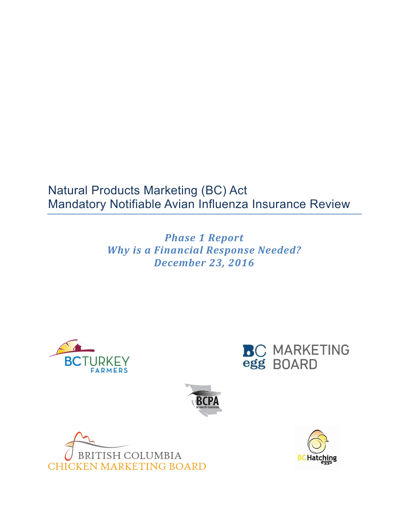# Natural Products Marketing (BC) Act Mandatory Notifiable Avian Influenza Insurance Review

*Phase 1 Report Why is a Financial Response Needed? December 23, 2016*









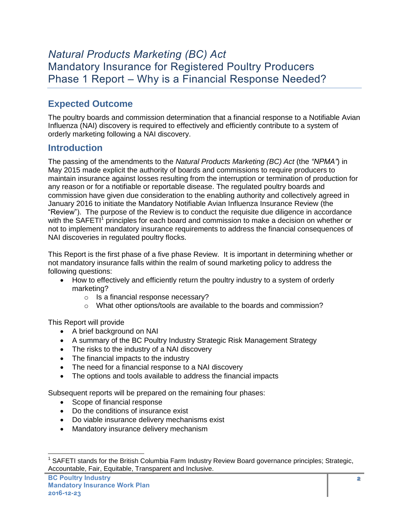# *Natural Products Marketing (BC) Act* Mandatory Insurance for Registered Poultry Producers Phase 1 Report – Why is a Financial Response Needed?

## **Expected Outcome**

The poultry boards and commission determination that a financial response to a Notifiable Avian Influenza (NAI) discovery is required to effectively and efficiently contribute to a system of orderly marketing following a NAI discovery.

### **Introduction**

The passing of the amendments to the *Natural Products Marketing (BC) Act* (the *"NPMA"*) in May 2015 made explicit the authority of boards and commissions to require producers to maintain insurance against losses resulting from the interruption or termination of production for any reason or for a notifiable or reportable disease. The regulated poultry boards and commission have given due consideration to the enabling authority and collectively agreed in January 2016 to initiate the Mandatory Notifiable Avian Influenza Insurance Review (the "Review"). The purpose of the Review is to conduct the requisite due diligence in accordance with the SAFETI<sup>1</sup> principles for each board and commission to make a decision on whether or not to implement mandatory insurance requirements to address the financial consequences of NAI discoveries in regulated poultry flocks.

This Report is the first phase of a five phase Review. It is important in determining whether or not mandatory insurance falls within the realm of sound marketing policy to address the following questions:

- How to effectively and efficiently return the poultry industry to a system of orderly marketing?
	- o Is a financial response necessary?
	- o What other options/tools are available to the boards and commission?

This Report will provide

- A brief background on NAI
- A summary of the BC Poultry Industry Strategic Risk Management Strategy
- The risks to the industry of a NAI discovery
- The financial impacts to the industry
- The need for a financial response to a NAI discovery
- The options and tools available to address the financial impacts

Subsequent reports will be prepared on the remaining four phases:

- Scope of financial response
- Do the conditions of insurance exist
- Do viable insurance delivery mechanisms exist
- Mandatory insurance delivery mechanism

<sup>&</sup>lt;sup>1</sup> SAFETI stands for the British Columbia Farm Industry Review Board governance principles; Strategic, Accountable, Fair, Equitable, Transparent and Inclusive.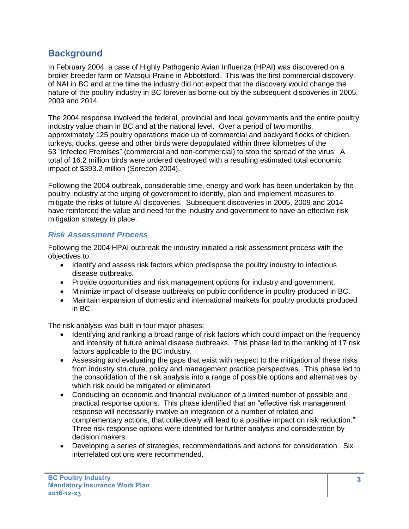### **Background**

In February 2004, a case of Highly Pathogenic Avian Influenza (HPAI) was discovered on a broiler breeder farm on Matsqui Prairie in Abbotsford. This was the first commercial discovery of NAI in BC and at the time the industry did not expect that the discovery would change the nature of the poultry industry in BC forever as borne out by the subsequent discoveries in 2005, 2009 and 2014.

The 2004 response involved the federal, provincial and local governments and the entire poultry industry value chain in BC and at the national level. Over a period of two months, approximately 125 poultry operations made up of commercial and backyard flocks of chicken, turkeys, ducks, geese and other birds were depopulated within three kilometres of the 53 "Infected Premises" (commercial and non-commercial) to stop the spread of the virus. A total of 16.2 million birds were ordered destroyed with a resulting estimated total economic impact of \$393.2 million (Serecon 2004).

Following the 2004 outbreak, considerable time, energy and work has been undertaken by the poultry industry at the urging of government to identify, plan and implement measures to mitigate the risks of future AI discoveries. Subsequent discoveries in 2005, 2009 and 2014 have reinforced the value and need for the industry and government to have an effective risk mitigation strategy in place.

### *Risk Assessment Process*

Following the 2004 HPAI outbreak the industry initiated a risk assessment process with the objectives to:

- Identify and assess risk factors which predispose the poultry industry to infectious disease outbreaks.
- Provide opportunities and risk management options for industry and government.
- Minimize impact of disease outbreaks on public confidence in poultry produced in BC.
- Maintain expansion of domestic and international markets for poultry products produced in BC.

The risk analysis was built in four major phases:

- Identifying and ranking a broad range of risk factors which could impact on the frequency and intensity of future animal disease outbreaks. This phase led to the ranking of 17 risk factors applicable to the BC industry.
- Assessing and evaluating the gaps that exist with respect to the mitigation of these risks from industry structure, policy and management practice perspectives. This phase led to the consolidation of the risk analysis into a range of possible options and alternatives by which risk could be mitigated or eliminated.
- Conducting an economic and financial evaluation of a limited number of possible and practical response options. This phase identified that an "effective risk management response will necessarily involve an integration of a number of related and complementary actions, that collectively will lead to a positive impact on risk reduction." Three risk response options were identified for further analysis and consideration by decision makers.
- Developing a series of strategies, recommendations and actions for consideration. Six interrelated options were recommended.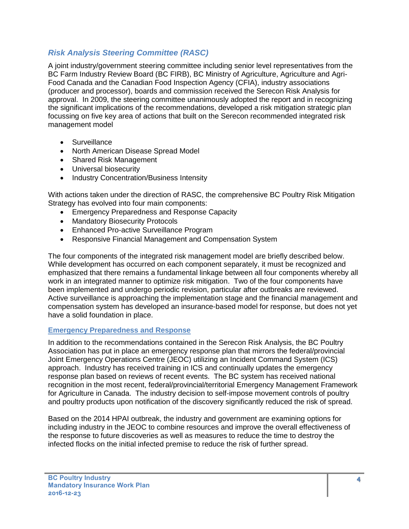### *Risk Analysis Steering Committee (RASC)*

A joint industry/government steering committee including senior level representatives from the BC Farm Industry Review Board (BC FIRB), BC Ministry of Agriculture, Agriculture and Agri-Food Canada and the Canadian Food Inspection Agency (CFIA), industry associations (producer and processor), boards and commission received the Serecon Risk Analysis for approval. In 2009, the steering committee unanimously adopted the report and in recognizing the significant implications of the recommendations, developed a risk mitigation strategic plan focussing on five key area of actions that built on the Serecon recommended integrated risk management model

- Surveillance
- North American Disease Spread Model
- Shared Risk Management
- Universal biosecurity
- Industry Concentration/Business Intensity

With actions taken under the direction of RASC, the comprehensive BC Poultry Risk Mitigation Strategy has evolved into four main components:

- Emergency Preparedness and Response Capacity
- Mandatory Biosecurity Protocols
- Enhanced Pro-active Surveillance Program
- Responsive Financial Management and Compensation System

The four components of the integrated risk management model are briefly described below. While development has occurred on each component separately, it must be recognized and emphasized that there remains a fundamental linkage between all four components whereby all work in an integrated manner to optimize risk mitigation. Two of the four components have been implemented and undergo periodic revision, particular after outbreaks are reviewed. Active surveillance is approaching the implementation stage and the financial management and compensation system has developed an insurance-based model for response, but does not yet have a solid foundation in place.

#### **Emergency Preparedness and Response**

In addition to the recommendations contained in the Serecon Risk Analysis, the BC Poultry Association has put in place an emergency response plan that mirrors the federal/provincial Joint Emergency Operations Centre (JEOC) utilizing an Incident Command System (ICS) approach. Industry has received training in ICS and continually updates the emergency response plan based on reviews of recent events. The BC system has received national recognition in the most recent, federal/provincial/territorial Emergency Management Framework for Agriculture in Canada. The industry decision to self-impose movement controls of poultry and poultry products upon notification of the discovery significantly reduced the risk of spread.

Based on the 2014 HPAI outbreak, the industry and government are examining options for including industry in the JEOC to combine resources and improve the overall effectiveness of the response to future discoveries as well as measures to reduce the time to destroy the infected flocks on the initial infected premise to reduce the risk of further spread.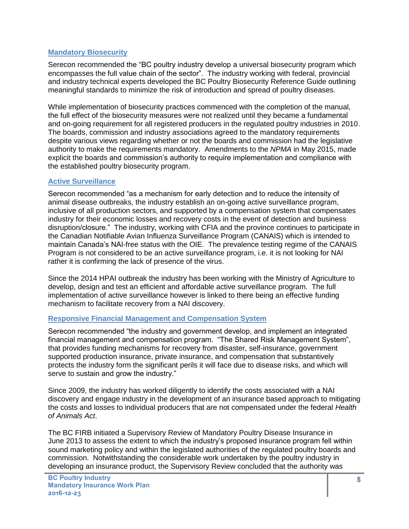#### **Mandatory Biosecurity**

Serecon recommended the "BC poultry industry develop a universal biosecurity program which encompasses the full value chain of the sector". The industry working with federal, provincial and industry technical experts developed the BC Poultry Biosecurity Reference Guide outlining meaningful standards to minimize the risk of introduction and spread of poultry diseases.

While implementation of biosecurity practices commenced with the completion of the manual, the full effect of the biosecurity measures were not realized until they became a fundamental and on-going requirement for all registered producers in the regulated poultry industries in 2010. The boards, commission and industry associations agreed to the mandatory requirements despite various views regarding whether or not the boards and commission had the legislative authority to make the requirements mandatory. Amendments to the *NPMA* in May 2015, made explicit the boards and commission's authority to require implementation and compliance with the established poultry biosecurity program.

#### **Active Surveillance**

Serecon recommended "as a mechanism for early detection and to reduce the intensity of animal disease outbreaks, the industry establish an on-going active surveillance program, inclusive of all production sectors, and supported by a compensation system that compensates industry for their economic losses and recovery costs in the event of detection and business disruption/closure." The industry, working with CFIA and the province continues to participate in the Canadian Notifiable Avian Influenza Surveillance Program (CANAIS) which is intended to maintain Canada's NAI-free status with the OIE. The prevalence testing regime of the CANAIS Program is not considered to be an active surveillance program, i.e. it is not looking for NAI rather it is confirming the lack of presence of the virus.

Since the 2014 HPAI outbreak the industry has been working with the Ministry of Agriculture to develop, design and test an efficient and affordable active surveillance program. The full implementation of active surveillance however is linked to there being an effective funding mechanism to facilitate recovery from a NAI discovery.

#### **Responsive Financial Management and Compensation System**

Serecon recommended "the industry and government develop, and implement an integrated financial management and compensation program. "The Shared Risk Management System", that provides funding mechanisms for recovery from disaster, self-insurance, government supported production insurance, private insurance, and compensation that substantively protects the industry form the significant perils it will face due to disease risks, and which will serve to sustain and grow the industry."

Since 2009, the industry has worked diligently to identify the costs associated with a NAI discovery and engage industry in the development of an insurance based approach to mitigating the costs and losses to individual producers that are not compensated under the federal *Health of Animals Act*.

The BC FIRB initiated a Supervisory Review of Mandatory Poultry Disease Insurance in June 2013 to assess the extent to which the industry's proposed insurance program fell within sound marketing policy and within the legislated authorities of the regulated poultry boards and commission. Notwithstanding the considerable work undertaken by the poultry industry in developing an insurance product, the Supervisory Review concluded that the authority was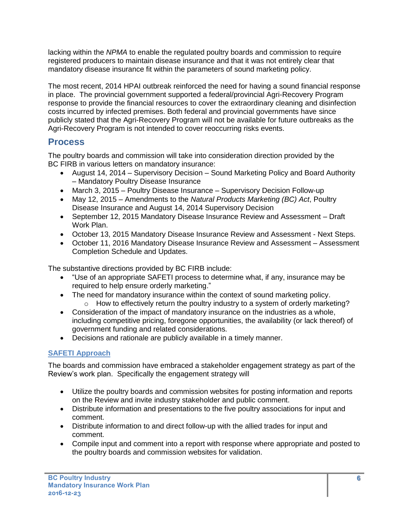lacking within the *NPMA* to enable the regulated poultry boards and commission to require registered producers to maintain disease insurance and that it was not entirely clear that mandatory disease insurance fit within the parameters of sound marketing policy.

The most recent, 2014 HPAI outbreak reinforced the need for having a sound financial response in place. The provincial government supported a federal/provincial Agri-Recovery Program response to provide the financial resources to cover the extraordinary cleaning and disinfection costs incurred by infected premises. Both federal and provincial governments have since publicly stated that the Agri-Recovery Program will not be available for future outbreaks as the Agri-Recovery Program is not intended to cover reoccurring risks events.

### **Process**

The poultry boards and commission will take into consideration direction provided by the BC FIRB in various letters on mandatory insurance:

- August 14, 2014 Supervisory Decision Sound Marketing Policy and Board Authority – Mandatory Poultry Disease Insurance
- March 3, 2015 Poultry Disease Insurance Supervisory Decision Follow-up
- May 12, 2015 Amendments to the *Natural Products Marketing (BC) Act*, Poultry Disease Insurance and August 14, 2014 Supervisory Decision
- September 12, 2015 Mandatory Disease Insurance Review and Assessment Draft Work Plan.
- October 13, 2015 Mandatory Disease Insurance Review and Assessment Next Steps.
- October 11, 2016 Mandatory Disease Insurance Review and Assessment Assessment Completion Schedule and Updates.

The substantive directions provided by BC FIRB include:

- "Use of an appropriate SAFETI process to determine what, if any, insurance may be required to help ensure orderly marketing."
- The need for mandatory insurance within the context of sound marketing policy.
- o How to effectively return the poultry industry to a system of orderly marketing? Consideration of the impact of mandatory insurance on the industries as a whole,
- including competitive pricing, foregone opportunities, the availability (or lack thereof) of government funding and related considerations.
- Decisions and rationale are publicly available in a timely manner.

### **SAFETI Approach**

The boards and commission have embraced a stakeholder engagement strategy as part of the Review's work plan. Specifically the engagement strategy will

- Utilize the poultry boards and commission websites for posting information and reports on the Review and invite industry stakeholder and public comment.
- Distribute information and presentations to the five poultry associations for input and comment.
- Distribute information to and direct follow-up with the allied trades for input and comment.
- Compile input and comment into a report with response where appropriate and posted to the poultry boards and commission websites for validation.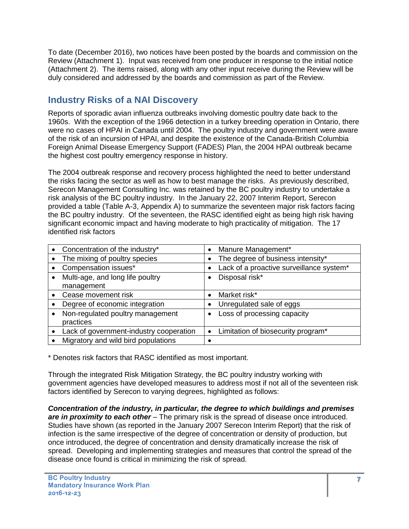To date (December 2016), two notices have been posted by the boards and commission on the Review (Attachment 1). Input was received from one producer in response to the initial notice (Attachment 2). The items raised, along with any other input receive during the Review will be duly considered and addressed by the boards and commission as part of the Review.

## **Industry Risks of a NAI Discovery**

Reports of sporadic avian influenza outbreaks involving domestic poultry date back to the 1960s. With the exception of the 1966 detection in a turkey breeding operation in Ontario, there were no cases of HPAI in Canada until 2004. The poultry industry and government were aware of the risk of an incursion of HPAI, and despite the existence of the Canada-British Columbia Foreign Animal Disease Emergency Support (FADES) Plan, the 2004 HPAI outbreak became the highest cost poultry emergency response in history.

The 2004 outbreak response and recovery process highlighted the need to better understand the risks facing the sector as well as how to best manage the risks. As previously described, Serecon Management Consulting Inc. was retained by the BC poultry industry to undertake a risk analysis of the BC poultry industry. In the January 22, 2007 Interim Report, Serecon provided a table (Table A-3, Appendix A) to summarize the seventeen major risk factors facing the BC poultry industry. Of the seventeen, the RASC identified eight as being high risk having significant economic impact and having moderate to high practicality of mitigation. The 17 identified risk factors

| Concentration of the industry*          |           | Manure Management*                       |
|-----------------------------------------|-----------|------------------------------------------|
| The mixing of poultry species           |           | The degree of business intensity*        |
| Compensation issues*                    |           | Lack of a proactive surveillance system* |
| Multi-age, and long life poultry        |           | Disposal risk*                           |
| management                              |           |                                          |
| Cease movement risk                     |           | Market risk*                             |
| Degree of economic integration          |           | Unregulated sale of eggs                 |
| Non-regulated poultry management        |           | Loss of processing capacity              |
| practices                               |           |                                          |
| Lack of government-industry cooperation | $\bullet$ | Limitation of biosecurity program*       |
| Migratory and wild bird populations     |           |                                          |

\* Denotes risk factors that RASC identified as most important.

Through the integrated Risk Mitigation Strategy, the BC poultry industry working with government agencies have developed measures to address most if not all of the seventeen risk factors identified by Serecon to varying degrees, highlighted as follows:

*Concentration of the industry, in particular, the degree to which buildings and premises are in proximity to each other* – The primary risk is the spread of disease once introduced. Studies have shown (as reported in the January 2007 Serecon Interim Report) that the risk of infection is the same irrespective of the degree of concentration or density of production, but once introduced, the degree of concentration and density dramatically increase the risk of spread. Developing and implementing strategies and measures that control the spread of the disease once found is critical in minimizing the risk of spread.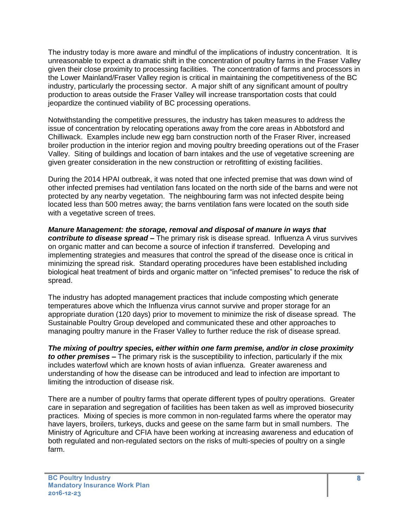The industry today is more aware and mindful of the implications of industry concentration. It is unreasonable to expect a dramatic shift in the concentration of poultry farms in the Fraser Valley given their close proximity to processing facilities. The concentration of farms and processors in the Lower Mainland/Fraser Valley region is critical in maintaining the competitiveness of the BC industry, particularly the processing sector. A major shift of any significant amount of poultry production to areas outside the Fraser Valley will increase transportation costs that could jeopardize the continued viability of BC processing operations.

Notwithstanding the competitive pressures, the industry has taken measures to address the issue of concentration by relocating operations away from the core areas in Abbotsford and Chilliwack. Examples include new egg barn construction north of the Fraser River, increased broiler production in the interior region and moving poultry breeding operations out of the Fraser Valley. Siting of buildings and location of barn intakes and the use of vegetative screening are given greater consideration in the new construction or retrofitting of existing facilities.

During the 2014 HPAI outbreak, it was noted that one infected premise that was down wind of other infected premises had ventilation fans located on the north side of the barns and were not protected by any nearby vegetation. The neighbouring farm was not infected despite being located less than 500 metres away; the barns ventilation fans were located on the south side with a vegetative screen of trees.

*Manure Management: the storage, removal and disposal of manure in ways that contribute to disease spread –* The primary risk is disease spread. Influenza A virus survives on organic matter and can become a source of infection if transferred. Developing and implementing strategies and measures that control the spread of the disease once is critical in minimizing the spread risk. Standard operating procedures have been established including biological heat treatment of birds and organic matter on "infected premises" to reduce the risk of spread.

The industry has adopted management practices that include composting which generate temperatures above which the Influenza virus cannot survive and proper storage for an appropriate duration (120 days) prior to movement to minimize the risk of disease spread. The Sustainable Poultry Group developed and communicated these and other approaches to managing poultry manure in the Fraser Valley to further reduce the risk of disease spread.

*The mixing of poultry species, either within one farm premise, and/or in close proximity to other premises –* The primary risk is the susceptibility to infection, particularly if the mix includes waterfowl which are known hosts of avian influenza. Greater awareness and understanding of how the disease can be introduced and lead to infection are important to limiting the introduction of disease risk.

There are a number of poultry farms that operate different types of poultry operations. Greater care in separation and segregation of facilities has been taken as well as improved biosecurity practices. Mixing of species is more common in non-regulated farms where the operator may have layers, broilers, turkeys, ducks and geese on the same farm but in small numbers. The Ministry of Agriculture and CFIA have been working at increasing awareness and education of both regulated and non-regulated sectors on the risks of multi-species of poultry on a single farm.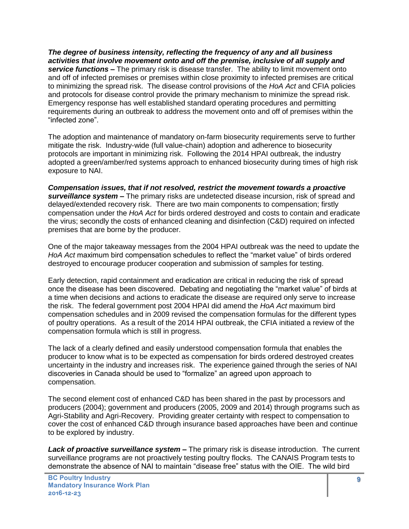*The degree of business intensity, reflecting the frequency of any and all business activities that involve movement onto and off the premise, inclusive of all supply and service functions –* The primary risk is disease transfer. The ability to limit movement onto and off of infected premises or premises within close proximity to infected premises are critical to minimizing the spread risk. The disease control provisions of the *HoA Act* and CFIA policies and protocols for disease control provide the primary mechanism to minimize the spread risk. Emergency response has well established standard operating procedures and permitting requirements during an outbreak to address the movement onto and off of premises within the "infected zone".

The adoption and maintenance of mandatory on-farm biosecurity requirements serve to further mitigate the risk. Industry-wide (full value-chain) adoption and adherence to biosecurity protocols are important in minimizing risk. Following the 2014 HPAI outbreak, the industry adopted a green/amber/red systems approach to enhanced biosecurity during times of high risk exposure to NAI.

*Compensation issues, that if not resolved, restrict the movement towards a proactive surveillance system –* The primary risks are undetected disease incursion, risk of spread and delayed/extended recovery risk. There are two main components to compensation; firstly compensation under the *HoA Act* for birds ordered destroyed and costs to contain and eradicate the virus; secondly the costs of enhanced cleaning and disinfection (C&D) required on infected premises that are borne by the producer.

One of the major takeaway messages from the 2004 HPAI outbreak was the need to update the *HoA Act* maximum bird compensation schedules to reflect the "market value" of birds ordered destroyed to encourage producer cooperation and submission of samples for testing.

Early detection, rapid containment and eradication are critical in reducing the risk of spread once the disease has been discovered. Debating and negotiating the "market value" of birds at a time when decisions and actions to eradicate the disease are required only serve to increase the risk. The federal government post 2004 HPAI did amend the *HoA Act* maximum bird compensation schedules and in 2009 revised the compensation formulas for the different types of poultry operations. As a result of the 2014 HPAI outbreak, the CFIA initiated a review of the compensation formula which is still in progress.

The lack of a clearly defined and easily understood compensation formula that enables the producer to know what is to be expected as compensation for birds ordered destroyed creates uncertainty in the industry and increases risk. The experience gained through the series of NAI discoveries in Canada should be used to "formalize" an agreed upon approach to compensation.

The second element cost of enhanced C&D has been shared in the past by processors and producers (2004); government and producers (2005, 2009 and 2014) through programs such as Agri-Stability and Agri-Recovery. Providing greater certainty with respect to compensation to cover the cost of enhanced C&D through insurance based approaches have been and continue to be explored by industry.

*Lack of proactive surveillance system –* The primary risk is disease introduction. The current surveillance programs are not proactively testing poultry flocks. The CANAIS Program tests to demonstrate the absence of NAI to maintain "disease free" status with the OIE. The wild bird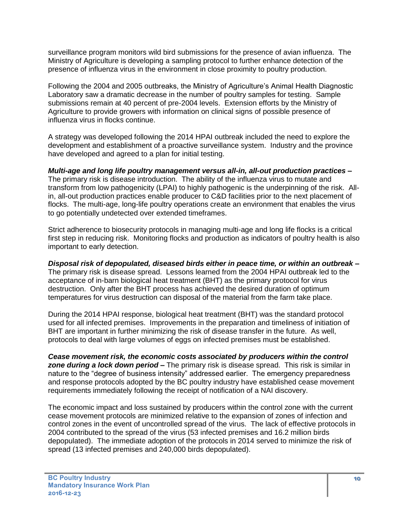surveillance program monitors wild bird submissions for the presence of avian influenza. The Ministry of Agriculture is developing a sampling protocol to further enhance detection of the presence of influenza virus in the environment in close proximity to poultry production.

Following the 2004 and 2005 outbreaks, the Ministry of Agriculture's Animal Health Diagnostic Laboratory saw a dramatic decrease in the number of poultry samples for testing. Sample submissions remain at 40 percent of pre-2004 levels. Extension efforts by the Ministry of Agriculture to provide growers with information on clinical signs of possible presence of influenza virus in flocks continue.

A strategy was developed following the 2014 HPAI outbreak included the need to explore the development and establishment of a proactive surveillance system. Industry and the province have developed and agreed to a plan for initial testing.

*Multi-age and long life poultry management versus all-in, all-out production practices –* The primary risk is disease introduction. The ability of the influenza virus to mutate and transform from low pathogenicity (LPAI) to highly pathogenic is the underpinning of the risk. Allin, all-out production practices enable producer to C&D facilities prior to the next placement of flocks. The multi-age, long-life poultry operations create an environment that enables the virus to go potentially undetected over extended timeframes.

Strict adherence to biosecurity protocols in managing multi-age and long life flocks is a critical first step in reducing risk. Monitoring flocks and production as indicators of poultry health is also important to early detection.

*Disposal risk of depopulated, diseased birds either in peace time, or within an outbreak –* The primary risk is disease spread. Lessons learned from the 2004 HPAI outbreak led to the acceptance of in-barn biological heat treatment (BHT) as the primary protocol for virus destruction. Only after the BHT process has achieved the desired duration of optimum temperatures for virus destruction can disposal of the material from the farm take place.

During the 2014 HPAI response, biological heat treatment (BHT) was the standard protocol used for all infected premises. Improvements in the preparation and timeliness of initiation of BHT are important in further minimizing the risk of disease transfer in the future. As well, protocols to deal with large volumes of eggs on infected premises must be established.

*Cease movement risk, the economic costs associated by producers within the control zone during a lock down period –* The primary risk is disease spread. This risk is similar in nature to the "degree of business intensity" addressed earlier. The emergency preparedness and response protocols adopted by the BC poultry industry have established cease movement requirements immediately following the receipt of notification of a NAI discovery.

The economic impact and loss sustained by producers within the control zone with the current cease movement protocols are minimized relative to the expansion of zones of infection and control zones in the event of uncontrolled spread of the virus. The lack of effective protocols in 2004 contributed to the spread of the virus (53 infected premises and 16.2 million birds depopulated). The immediate adoption of the protocols in 2014 served to minimize the risk of spread (13 infected premises and 240,000 birds depopulated).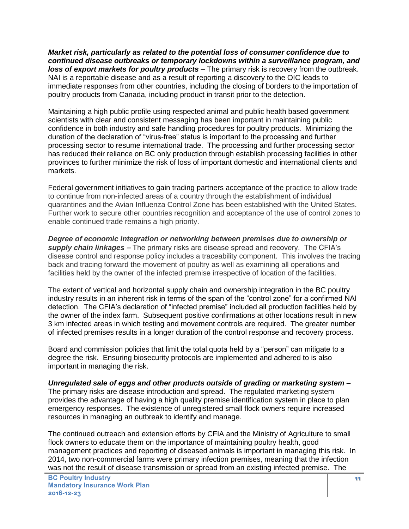*Market risk, particularly as related to the potential loss of consumer confidence due to continued disease outbreaks or temporary lockdowns within a surveillance program, and loss of export markets for poultry products –* The primary risk is recovery from the outbreak. NAI is a reportable disease and as a result of reporting a discovery to the OIC leads to immediate responses from other countries, including the closing of borders to the importation of poultry products from Canada, including product in transit prior to the detection.

Maintaining a high public profile using respected animal and public health based government scientists with clear and consistent messaging has been important in maintaining public confidence in both industry and safe handling procedures for poultry products. Minimizing the duration of the declaration of "virus-free" status is important to the processing and further processing sector to resume international trade. The processing and further processing sector has reduced their reliance on BC only production through establish processing facilities in other provinces to further minimize the risk of loss of important domestic and international clients and markets.

Federal government initiatives to gain trading partners acceptance of the practice to allow trade to continue from non-infected areas of a country through the establishment of individual quarantines and the Avian Influenza Control Zone has been established with the United States. Further work to secure other countries recognition and acceptance of the use of control zones to enable continued trade remains a high priority.

*Degree of economic integration or networking between premises due to ownership or supply chain linkages –* The primary risks are disease spread and recovery. The CFIA's disease control and response policy includes a traceability component. This involves the tracing back and tracing forward the movement of poultry as well as examining all operations and facilities held by the owner of the infected premise irrespective of location of the facilities.

The extent of vertical and horizontal supply chain and ownership integration in the BC poultry industry results in an inherent risk in terms of the span of the "control zone" for a confirmed NAI detection. The CFIA's declaration of "infected premise" included all production facilities held by the owner of the index farm. Subsequent positive confirmations at other locations result in new 3 km infected areas in which testing and movement controls are required. The greater number of infected premises results in a longer duration of the control response and recovery process.

Board and commission policies that limit the total quota held by a "person" can mitigate to a degree the risk. Ensuring biosecurity protocols are implemented and adhered to is also important in managing the risk.

*Unregulated sale of eggs and other products outside of grading or marketing system –* The primary risks are disease introduction and spread. The regulated marketing system provides the advantage of having a high quality premise identification system in place to plan emergency responses. The existence of unregistered small flock owners require increased resources in managing an outbreak to identify and manage.

The continued outreach and extension efforts by CFIA and the Ministry of Agriculture to small flock owners to educate them on the importance of maintaining poultry health, good management practices and reporting of diseased animals is important in managing this risk. In 2014, two non-commercial farms were primary infection premises, meaning that the infection was not the result of disease transmission or spread from an existing infected premise. The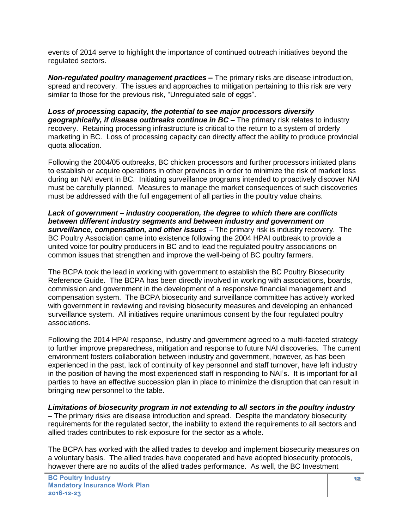events of 2014 serve to highlight the importance of continued outreach initiatives beyond the regulated sectors.

*Non-regulated poultry management practices –* The primary risks are disease introduction, spread and recovery. The issues and approaches to mitigation pertaining to this risk are very similar to those for the previous risk, "Unregulated sale of eggs".

*Loss of processing capacity, the potential to see major processors diversify geographically, if disease outbreaks continue in BC –* The primary risk relates to industry recovery. Retaining processing infrastructure is critical to the return to a system of orderly marketing in BC. Loss of processing capacity can directly affect the ability to produce provincial quota allocation.

Following the 2004/05 outbreaks, BC chicken processors and further processors initiated plans to establish or acquire operations in other provinces in order to minimize the risk of market loss during an NAI event in BC. Initiating surveillance programs intended to proactively discover NAI must be carefully planned. Measures to manage the market consequences of such discoveries must be addressed with the full engagement of all parties in the poultry value chains.

*Lack of government – industry cooperation, the degree to which there are conflicts between different industry segments and between industry and government on surveillance, compensation, and other issues* – The primary risk is industry recovery. The BC Poultry Association came into existence following the 2004 HPAI outbreak to provide a united voice for poultry producers in BC and to lead the regulated poultry associations on common issues that strengthen and improve the well-being of BC poultry farmers.

The BCPA took the lead in working with government to establish the BC Poultry Biosecurity Reference Guide. The BCPA has been directly involved in working with associations, boards, commission and government in the development of a responsive financial management and compensation system. The BCPA biosecurity and surveillance committee has actively worked with government in reviewing and revising biosecurity measures and developing an enhanced surveillance system. All initiatives require unanimous consent by the four regulated poultry associations.

Following the 2014 HPAI response, industry and government agreed to a multi-faceted strategy to further improve preparedness, mitigation and response to future NAI discoveries. The current environment fosters collaboration between industry and government, however, as has been experienced in the past, lack of continuity of key personnel and staff turnover, have left industry in the position of having the most experienced staff in responding to NAI's. It is important for all parties to have an effective succession plan in place to minimize the disruption that can result in bringing new personnel to the table.

*Limitations of biosecurity program in not extending to all sectors in the poultry industry –* The primary risks are disease introduction and spread. Despite the mandatory biosecurity requirements for the regulated sector, the inability to extend the requirements to all sectors and allied trades contributes to risk exposure for the sector as a whole.

The BCPA has worked with the allied trades to develop and implement biosecurity measures on a voluntary basis. The allied trades have cooperated and have adopted biosecurity protocols, however there are no audits of the allied trades performance. As well, the BC Investment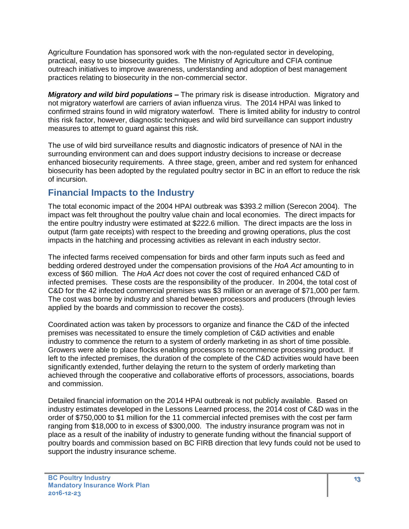Agriculture Foundation has sponsored work with the non-regulated sector in developing, practical, easy to use biosecurity guides. The Ministry of Agriculture and CFIA continue outreach initiatives to improve awareness, understanding and adoption of best management practices relating to biosecurity in the non-commercial sector.

*Migratory and wild bird populations –* The primary risk is disease introduction. Migratory and not migratory waterfowl are carriers of avian influenza virus. The 2014 HPAI was linked to confirmed strains found in wild migratory waterfowl. There is limited ability for industry to control this risk factor, however, diagnostic techniques and wild bird surveillance can support industry measures to attempt to guard against this risk.

The use of wild bird surveillance results and diagnostic indicators of presence of NAI in the surrounding environment can and does support industry decisions to increase or decrease enhanced biosecurity requirements. A three stage, green, amber and red system for enhanced biosecurity has been adopted by the regulated poultry sector in BC in an effort to reduce the risk of incursion.

### **Financial Impacts to the Industry**

The total economic impact of the 2004 HPAI outbreak was \$393.2 million (Serecon 2004). The impact was felt throughout the poultry value chain and local economies. The direct impacts for the entire poultry industry were estimated at \$222.6 million. The direct impacts are the loss in output (farm gate receipts) with respect to the breeding and growing operations, plus the cost impacts in the hatching and processing activities as relevant in each industry sector.

The infected farms received compensation for birds and other farm inputs such as feed and bedding ordered destroyed under the compensation provisions of the *HoA Act* amounting to in excess of \$60 million*.* The *HoA Act* does not cover the cost of required enhanced C&D of infected premises. These costs are the responsibility of the producer. In 2004, the total cost of C&D for the 42 infected commercial premises was \$3 million or an average of \$71,000 per farm. The cost was borne by industry and shared between processors and producers (through levies applied by the boards and commission to recover the costs).

Coordinated action was taken by processors to organize and finance the C&D of the infected premises was necessitated to ensure the timely completion of C&D activities and enable industry to commence the return to a system of orderly marketing in as short of time possible. Growers were able to place flocks enabling processors to recommence processing product. If left to the infected premises, the duration of the complete of the C&D activities would have been significantly extended, further delaying the return to the system of orderly marketing than achieved through the cooperative and collaborative efforts of processors, associations, boards and commission.

Detailed financial information on the 2014 HPAI outbreak is not publicly available. Based on industry estimates developed in the Lessons Learned process, the 2014 cost of C&D was in the order of \$750,000 to \$1 million for the 11 commercial infected premises with the cost per farm ranging from \$18,000 to in excess of \$300,000. The industry insurance program was not in place as a result of the inability of industry to generate funding without the financial support of poultry boards and commission based on BC FIRB direction that levy funds could not be used to support the industry insurance scheme.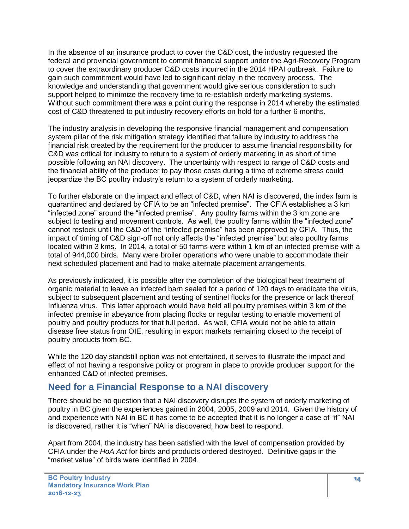In the absence of an insurance product to cover the C&D cost, the industry requested the federal and provincial government to commit financial support under the Agri-Recovery Program to cover the extraordinary producer C&D costs incurred in the 2014 HPAI outbreak. Failure to gain such commitment would have led to significant delay in the recovery process. The knowledge and understanding that government would give serious consideration to such support helped to minimize the recovery time to re-establish orderly marketing systems. Without such commitment there was a point during the response in 2014 whereby the estimated cost of C&D threatened to put industry recovery efforts on hold for a further 6 months.

The industry analysis in developing the responsive financial management and compensation system pillar of the risk mitigation strategy identified that failure by industry to address the financial risk created by the requirement for the producer to assume financial responsibility for C&D was critical for industry to return to a system of orderly marketing in as short of time possible following an NAI discovery. The uncertainty with respect to range of C&D costs and the financial ability of the producer to pay those costs during a time of extreme stress could jeopardize the BC poultry industry's return to a system of orderly marketing.

To further elaborate on the impact and effect of C&D, when NAI is discovered, the index farm is quarantined and declared by CFIA to be an "infected premise". The CFIA establishes a 3 km "infected zone" around the "infected premise". Any poultry farms within the 3 km zone are subject to testing and movement controls. As well, the poultry farms within the "infected zone" cannot restock until the C&D of the "infected premise" has been approved by CFIA. Thus, the impact of timing of C&D sign-off not only affects the "infected premise" but also poultry farms located within 3 kms. In 2014, a total of 50 farms were within 1 km of an infected premise with a total of 944,000 birds. Many were broiler operations who were unable to accommodate their next scheduled placement and had to make alternate placement arrangements.

As previously indicated, it is possible after the completion of the biological heat treatment of organic material to leave an infected barn sealed for a period of 120 days to eradicate the virus, subject to subsequent placement and testing of sentinel flocks for the presence or lack thereof Influenza virus. This latter approach would have held all poultry premises within 3 km of the infected premise in abeyance from placing flocks or regular testing to enable movement of poultry and poultry products for that full period. As well, CFIA would not be able to attain disease free status from OIE, resulting in export markets remaining closed to the receipt of poultry products from BC.

While the 120 day standstill option was not entertained, it serves to illustrate the impact and effect of not having a responsive policy or program in place to provide producer support for the enhanced C&D of infected premises.

### **Need for a Financial Response to a NAI discovery**

There should be no question that a NAI discovery disrupts the system of orderly marketing of poultry in BC given the experiences gained in 2004, 2005, 2009 and 2014. Given the history of and experience with NAI in BC it has come to be accepted that it is no longer a case of "if" NAI is discovered, rather it is "when" NAI is discovered, how best to respond.

Apart from 2004, the industry has been satisfied with the level of compensation provided by CFIA under the *HoA Act* for birds and products ordered destroyed. Definitive gaps in the "market value" of birds were identified in 2004.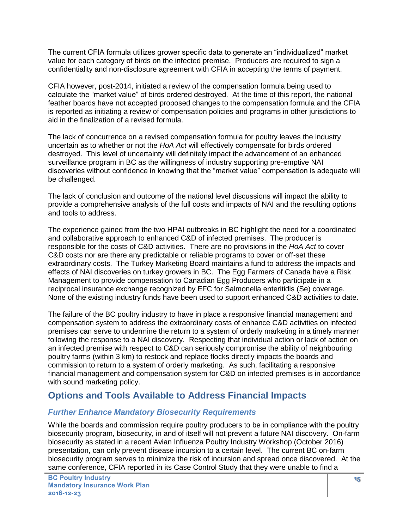The current CFIA formula utilizes grower specific data to generate an "individualized" market value for each category of birds on the infected premise. Producers are required to sign a confidentiality and non-disclosure agreement with CFIA in accepting the terms of payment.

CFIA however, post-2014, initiated a review of the compensation formula being used to calculate the "market value" of birds ordered destroyed. At the time of this report, the national feather boards have not accepted proposed changes to the compensation formula and the CFIA is reported as initiating a review of compensation policies and programs in other jurisdictions to aid in the finalization of a revised formula.

The lack of concurrence on a revised compensation formula for poultry leaves the industry uncertain as to whether or not the *HoA Act* will effectively compensate for birds ordered destroyed. This level of uncertainty will definitely impact the advancement of an enhanced surveillance program in BC as the willingness of industry supporting pre-emptive NAI discoveries without confidence in knowing that the "market value" compensation is adequate will be challenged.

The lack of conclusion and outcome of the national level discussions will impact the ability to provide a comprehensive analysis of the full costs and impacts of NAI and the resulting options and tools to address.

The experience gained from the two HPAI outbreaks in BC highlight the need for a coordinated and collaborative approach to enhanced C&D of infected premises. The producer is responsible for the costs of C&D activities. There are no provisions in the *HoA Act* to cover C&D costs nor are there any predictable or reliable programs to cover or off-set these extraordinary costs. The Turkey Marketing Board maintains a fund to address the impacts and effects of NAI discoveries on turkey growers in BC. The Egg Farmers of Canada have a Risk Management to provide compensation to Canadian Egg Producers who participate in a reciprocal insurance exchange recognized by EFC for Salmonella enteritidis (Se) coverage. None of the existing industry funds have been used to support enhanced C&D activities to date.

The failure of the BC poultry industry to have in place a responsive financial management and compensation system to address the extraordinary costs of enhance C&D activities on infected premises can serve to undermine the return to a system of orderly marketing in a timely manner following the response to a NAI discovery. Respecting that individual action or lack of action on an infected premise with respect to C&D can seriously compromise the ability of neighbouring poultry farms (within 3 km) to restock and replace flocks directly impacts the boards and commission to return to a system of orderly marketing. As such, facilitating a responsive financial management and compensation system for C&D on infected premises is in accordance with sound marketing policy.

### **Options and Tools Available to Address Financial Impacts**

### *Further Enhance Mandatory Biosecurity Requirements*

While the boards and commission require poultry producers to be in compliance with the poultry biosecurity program, biosecurity, in and of itself will not prevent a future NAI discovery. On-farm biosecurity as stated in a recent Avian Influenza Poultry Industry Workshop (October 2016) presentation, can only prevent disease incursion to a certain level. The current BC on-farm biosecurity program serves to minimize the risk of incursion and spread once discovered. At the same conference, CFIA reported in its Case Control Study that they were unable to find a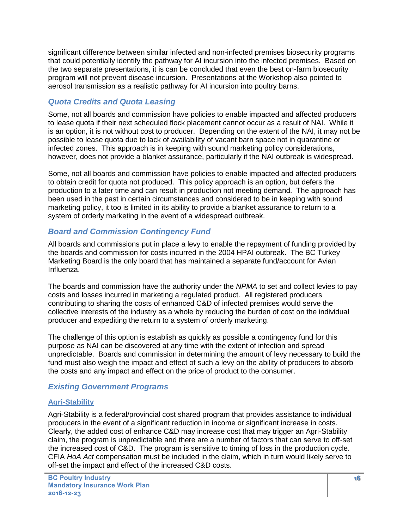significant difference between similar infected and non-infected premises biosecurity programs that could potentially identify the pathway for AI incursion into the infected premises. Based on the two separate presentations, it is can be concluded that even the best on-farm biosecurity program will not prevent disease incursion. Presentations at the Workshop also pointed to aerosol transmission as a realistic pathway for AI incursion into poultry barns.

#### *Quota Credits and Quota Leasing*

Some, not all boards and commission have policies to enable impacted and affected producers to lease quota if their next scheduled flock placement cannot occur as a result of NAI. While it is an option, it is not without cost to producer. Depending on the extent of the NAI, it may not be possible to lease quota due to lack of availability of vacant barn space not in quarantine or infected zones. This approach is in keeping with sound marketing policy considerations, however, does not provide a blanket assurance, particularly if the NAI outbreak is widespread.

Some, not all boards and commission have policies to enable impacted and affected producers to obtain credit for quota not produced. This policy approach is an option, but defers the production to a later time and can result in production not meeting demand. The approach has been used in the past in certain circumstances and considered to be in keeping with sound marketing policy, it too is limited in its ability to provide a blanket assurance to return to a system of orderly marketing in the event of a widespread outbreak.

### *Board and Commission Contingency Fund*

All boards and commissions put in place a levy to enable the repayment of funding provided by the boards and commission for costs incurred in the 2004 HPAI outbreak. The BC Turkey Marketing Board is the only board that has maintained a separate fund/account for Avian Influenza.

The boards and commission have the authority under the *NPMA* to set and collect levies to pay costs and losses incurred in marketing a regulated product. All registered producers contributing to sharing the costs of enhanced C&D of infected premises would serve the collective interests of the industry as a whole by reducing the burden of cost on the individual producer and expediting the return to a system of orderly marketing.

The challenge of this option is establish as quickly as possible a contingency fund for this purpose as NAI can be discovered at any time with the extent of infection and spread unpredictable. Boards and commission in determining the amount of levy necessary to build the fund must also weigh the impact and effect of such a levy on the ability of producers to absorb the costs and any impact and effect on the price of product to the consumer.

#### *Existing Government Programs*

#### **Agri-Stability**

Agri-Stability is a federal/provincial cost shared program that provides assistance to individual producers in the event of a significant reduction in income or significant increase in costs. Clearly, the added cost of enhance C&D may increase cost that may trigger an Agri-Stability claim, the program is unpredictable and there are a number of factors that can serve to off-set the increased cost of C&D. The program is sensitive to timing of loss in the production cycle. CFIA *HoA Act* compensation must be included in the claim, which in turn would likely serve to off-set the impact and effect of the increased C&D costs.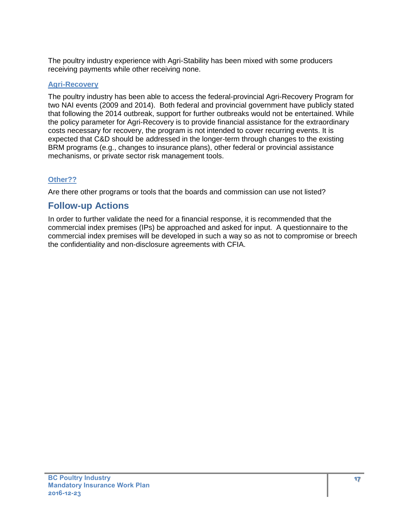The poultry industry experience with Agri-Stability has been mixed with some producers receiving payments while other receiving none.

#### **Agri-Recovery**

The poultry industry has been able to access the federal-provincial Agri-Recovery Program for two NAI events (2009 and 2014). Both federal and provincial government have publicly stated that following the 2014 outbreak, support for further outbreaks would not be entertained. While the policy parameter for Agri-Recovery is to provide financial assistance for the extraordinary costs necessary for recovery, the program is not intended to cover recurring events. It is expected that C&D should be addressed in the longer-term through changes to the existing BRM programs (e.g., changes to insurance plans), other federal or provincial assistance mechanisms, or private sector risk management tools.

### **Other??**

Are there other programs or tools that the boards and commission can use not listed?

### **Follow-up Actions**

In order to further validate the need for a financial response, it is recommended that the commercial index premises (IPs) be approached and asked for input. A questionnaire to the commercial index premises will be developed in such a way so as not to compromise or breech the confidentiality and non-disclosure agreements with CFIA.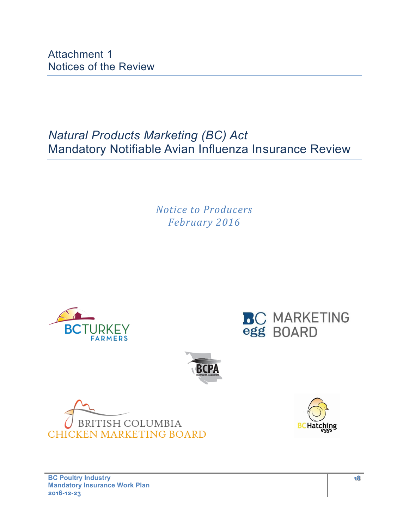Attachment 1 Notices of the Review

*Natural Products Marketing (BC) Act* Mandatory Notifiable Avian Influenza Insurance Review

> *Notice to Producers February 2016*











**BC Poultry Industry Mandatory Insurance Work Plan 2016-12-23**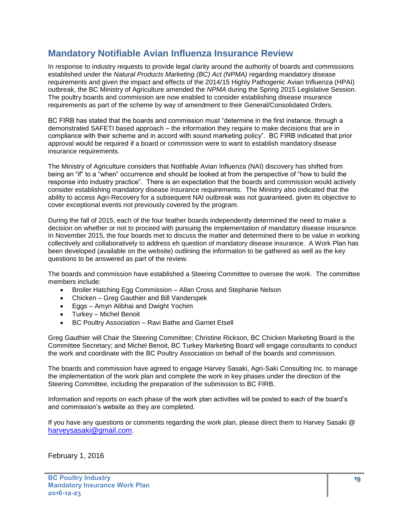### **Mandatory Notifiable Avian Influenza Insurance Review**

In response to industry requests to provide legal clarity around the authority of boards and commissions established under the *Natural Products Marketing (BC) Act (NPMA)* regarding mandatory disease requirements and given the impact and effects of the 2014/15 Highly Pathogenic Avian Influenza (HPAI) outbreak, the BC Ministry of Agriculture amended the *NPMA* during the Spring 2015 Legislative Session. The poultry boards and commission are now enabled to consider establishing disease insurance requirements as part of the scheme by way of amendment to their General/Consolidated Orders.

BC FIRB has stated that the boards and commission must "determine in the first instance, through a demonstrated SAFETI based approach – the information they require to make decisions that are in compliance with their scheme and in accord with sound marketing policy". BC FIRB indicated that prior approval would be required if a board or commission were to want to establish mandatory disease insurance requirements.

The Ministry of Agriculture considers that Notifiable Avian Influenza (NAI) discovery has shifted from being an "if" to a "when" occurrence and should be looked at from the perspective of "how to build the response into industry practice". There is an expectation that the boards and commission would actively consider establishing mandatory disease insurance requirements. The Ministry also indicated that the ability to access Agri-Recovery for a subsequent NAI outbreak was not guaranteed, given its objective to cover exceptional events not previously covered by the program.

During the fall of 2015, each of the four feather boards independently determined the need to make a decision on whether or not to proceed with pursuing the implementation of mandatory disease insurance. In November 2015, the four boards met to discuss the matter and determined there to be value in working collectively and collaboratively to address eh question of mandatory disease insurance. A Work Plan has been developed (available on the website) outlining the information to be gathered as well as the key questions to be answered as part of the review.

The boards and commission have established a Steering Committee to oversee the work. The committee members include:

- Broiler Hatching Egg Commission Allan Cross and Stephanie Nelson
- Chicken Greg Gauthier and Bill Vanderspek
- **Eggs Amyn Alibhai and Dwight Yochim**
- Turkey Michel Benoit
- BC Poultry Association Ravi Bathe and Garnet Etsell

Greg Gauthier will Chair the Steering Committee; Christine Rickson, BC Chicken Marketing Board is the Committee Secretary; and Michel Benoit, BC Turkey Marketing Board will engage consultants to conduct the work and coordinate with the BC Poultry Association on behalf of the boards and commission.

The boards and commission have agreed to engage Harvey Sasaki, Agri-Saki Consulting Inc. to manage the implementation of the work plan and complete the work in key phases under the direction of the Steering Committee, including the preparation of the submission to BC FIRB.

Information and reports on each phase of the work plan activities will be posted to each of the board's and commission's website as they are completed.

If you have any questions or comments regarding the work plan, please direct them to Harvey Sasaki @ [harveysasaki@gmail.com](mailto:harveysasaki@gmail.com).

February 1, 2016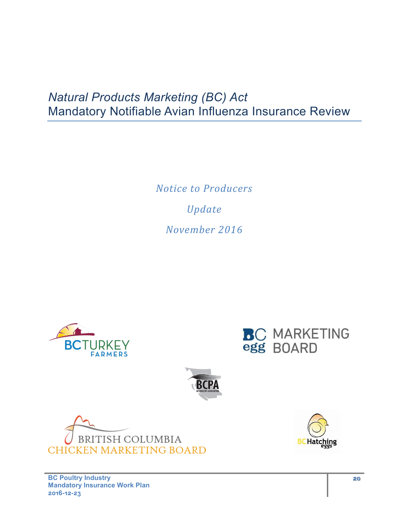# *Natural Products Marketing (BC) Act* Mandatory Notifiable Avian Influenza Insurance Review

*Notice to Producers Update November 2016*









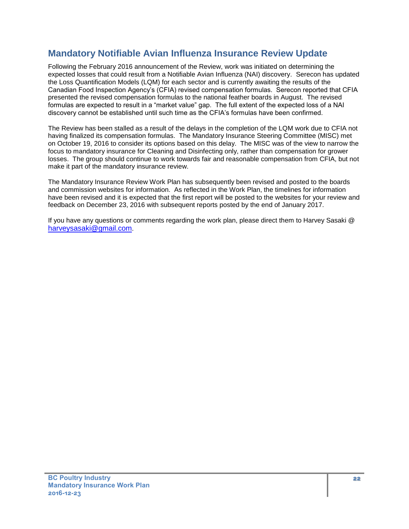### **Mandatory Notifiable Avian Influenza Insurance Review Update**

Following the February 2016 announcement of the Review, work was initiated on determining the expected losses that could result from a Notifiable Avian Influenza (NAI) discovery. Serecon has updated the Loss Quantification Models (LQM) for each sector and is currently awaiting the results of the Canadian Food Inspection Agency's (CFIA) revised compensation formulas. Serecon reported that CFIA presented the revised compensation formulas to the national feather boards in August. The revised formulas are expected to result in a "market value" gap. The full extent of the expected loss of a NAI discovery cannot be established until such time as the CFIA's formulas have been confirmed.

The Review has been stalled as a result of the delays in the completion of the LQM work due to CFIA not having finalized its compensation formulas. The Mandatory Insurance Steering Committee (MISC) met on October 19, 2016 to consider its options based on this delay. The MISC was of the view to narrow the focus to mandatory insurance for Cleaning and Disinfecting only, rather than compensation for grower losses. The group should continue to work towards fair and reasonable compensation from CFIA, but not make it part of the mandatory insurance review.

The Mandatory Insurance Review Work Plan has subsequently been revised and posted to the boards and commission websites for information. As reflected in the Work Plan, the timelines for information have been revised and it is expected that the first report will be posted to the websites for your review and feedback on December 23, 2016 with subsequent reports posted by the end of January 2017.

If you have any questions or comments regarding the work plan, please direct them to Harvey Sasaki @ [harveysasaki@gmail.com](mailto:harveysasaki@gmail.com).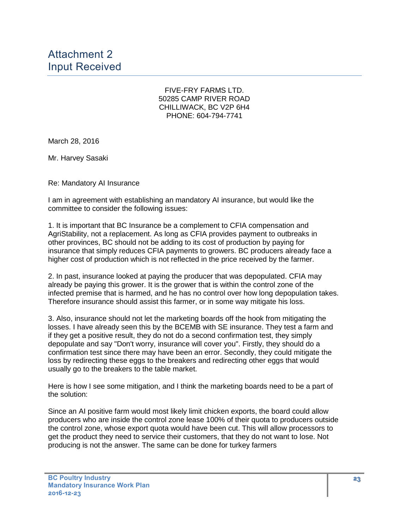Attachment 2 Input Received

> FIVE-FRY FARMS LTD. 50285 CAMP RIVER ROAD CHILLIWACK, BC V2P 6H4 PHONE: 604-794-7741

March 28, 2016

Mr. Harvey Sasaki

Re: Mandatory AI Insurance

I am in agreement with establishing an mandatory AI insurance, but would like the committee to consider the following issues:

1. It is important that BC Insurance be a complement to CFIA compensation and AgriStability, not a replacement. As long as CFIA provides payment to outbreaks in other provinces, BC should not be adding to its cost of production by paying for insurance that simply reduces CFIA payments to growers. BC producers already face a higher cost of production which is not reflected in the price received by the farmer.

2. In past, insurance looked at paying the producer that was depopulated. CFIA may already be paying this grower. It is the grower that is within the control zone of the infected premise that is harmed, and he has no control over how long depopulation takes. Therefore insurance should assist this farmer, or in some way mitigate his loss.

3. Also, insurance should not let the marketing boards off the hook from mitigating the losses. I have already seen this by the BCEMB with SE insurance. They test a farm and if they get a positive result, they do not do a second confirmation test, they simply depopulate and say "Don't worry, insurance will cover you". Firstly, they should do a confirmation test since there may have been an error. Secondly, they could mitigate the loss by redirecting these eggs to the breakers and redirecting other eggs that would usually go to the breakers to the table market.

Here is how I see some mitigation, and I think the marketing boards need to be a part of the solution:

Since an AI positive farm would most likely limit chicken exports, the board could allow producers who are inside the control zone lease 100% of their quota to producers outside the control zone, whose export quota would have been cut. This will allow processors to get the product they need to service their customers, that they do not want to lose. Not producing is not the answer. The same can be done for turkey farmers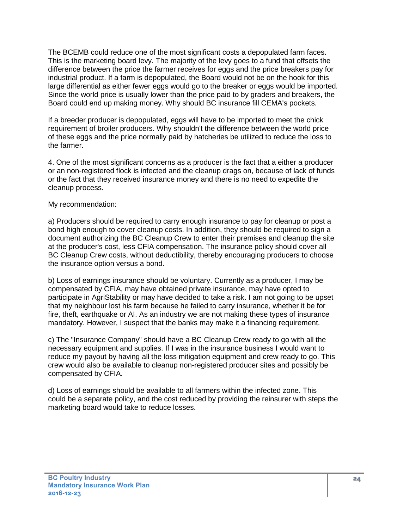The BCEMB could reduce one of the most significant costs a depopulated farm faces. This is the marketing board levy. The majority of the levy goes to a fund that offsets the difference between the price the farmer receives for eggs and the price breakers pay for industrial product. If a farm is depopulated, the Board would not be on the hook for this large differential as either fewer eggs would go to the breaker or eggs would be imported. Since the world price is usually lower than the price paid to by graders and breakers, the Board could end up making money. Why should BC insurance fill CEMA's pockets.

If a breeder producer is depopulated, eggs will have to be imported to meet the chick requirement of broiler producers. Why shouldn't the difference between the world price of these eggs and the price normally paid by hatcheries be utilized to reduce the loss to the farmer.

4. One of the most significant concerns as a producer is the fact that a either a producer or an non-registered flock is infected and the cleanup drags on, because of lack of funds or the fact that they received insurance money and there is no need to expedite the cleanup process.

#### My recommendation:

a) Producers should be required to carry enough insurance to pay for cleanup or post a bond high enough to cover cleanup costs. In addition, they should be required to sign a document authorizing the BC Cleanup Crew to enter their premises and cleanup the site at the producer's cost, less CFIA compensation. The insurance policy should cover all BC Cleanup Crew costs, without deductibility, thereby encouraging producers to choose the insurance option versus a bond.

b) Loss of earnings insurance should be voluntary. Currently as a producer, I may be compensated by CFIA, may have obtained private insurance, may have opted to participate in AgriStability or may have decided to take a risk. I am not going to be upset that my neighbour lost his farm because he failed to carry insurance, whether it be for fire, theft, earthquake or AI. As an industry we are not making these types of insurance mandatory. However, I suspect that the banks may make it a financing requirement.

c) The "Insurance Company" should have a BC Cleanup Crew ready to go with all the necessary equipment and supplies. If I was in the insurance business I would want to reduce my payout by having all the loss mitigation equipment and crew ready to go. This crew would also be available to cleanup non-registered producer sites and possibly be compensated by CFIA.

d) Loss of earnings should be available to all farmers within the infected zone. This could be a separate policy, and the cost reduced by providing the reinsurer with steps the marketing board would take to reduce losses.